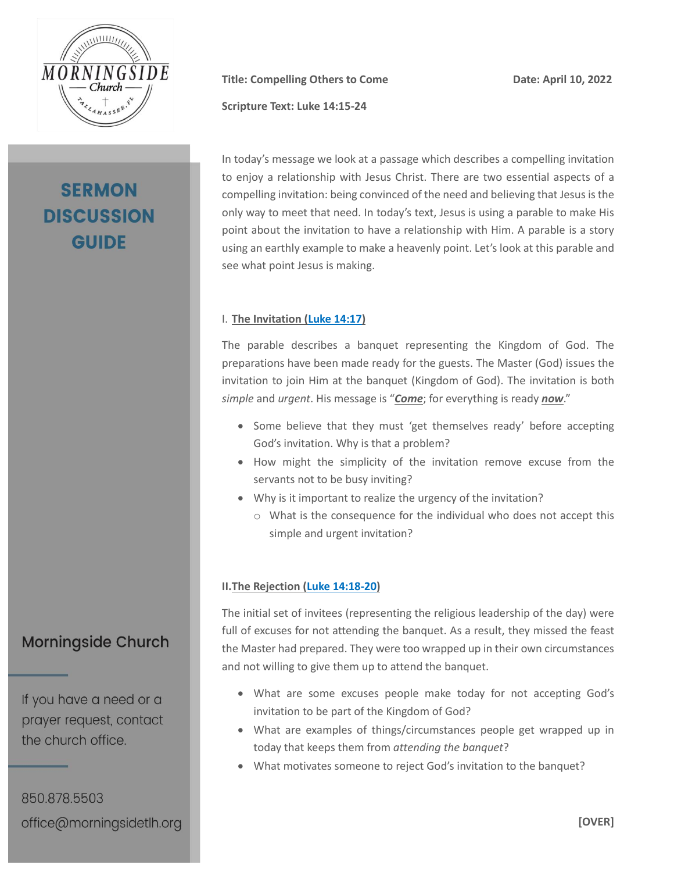

# **SERMON DISCUSSION GUIDE**

**Title: Compelling Others to Come Date: April 10, 2022**

**Scripture Text: Luke 14:15-24**

In today's message we look at a passage which describes a compelling invitation to enjoy a relationship with Jesus Christ. There are two essential aspects of a compelling invitation: being convinced of the need and believing that Jesus is the only way to meet that need. In today's text, Jesus is using a parable to make His point about the invitation to have a relationship with Him. A parable is a story using an earthly example to make a heavenly point. Let's look at this parable and see what point Jesus is making.

#### I. **The Invitation (Luke [14:17\)](https://my.bible.com/bible/2692/LUK.14.17.nasb2020)**

The parable describes a banquet representing the Kingdom of God. The preparations have been made ready for the guests. The Master (God) issues the invitation to join Him at the banquet (Kingdom of God). The invitation is both *simple* and *urgent*. His message is "*Come*; for everything is ready *now*."

- Some believe that they must 'get themselves ready' before accepting God's invitation. Why is that a problem?
- How might the simplicity of the invitation remove excuse from the servants not to be busy inviting?
- Why is it important to realize the urgency of the invitation?
	- o What is the consequence for the individual who does not accept this simple and urgent invitation?

### **II.The Rejection [\(Luke 14:18-20\)](https://my.bible.com/bible/2692/LUK.14.18-20.nasb2020)**

The initial set of invitees (representing the religious leadership of the day) were full of excuses for not attending the banquet. As a result, they missed the feast the Master had prepared. They were too wrapped up in their own circumstances and not willing to give them up to attend the banquet.

- What are some excuses people make today for not accepting God's invitation to be part of the Kingdom of God?
- What are examples of things/circumstances people get wrapped up in today that keeps them from *attending the banquet*?
- What motivates someone to reject God's invitation to the banquet?

**Morningside Church** 

If you have a need or a prayer request, contact the church office.

850.878.5503 office@morningsidetlh.org